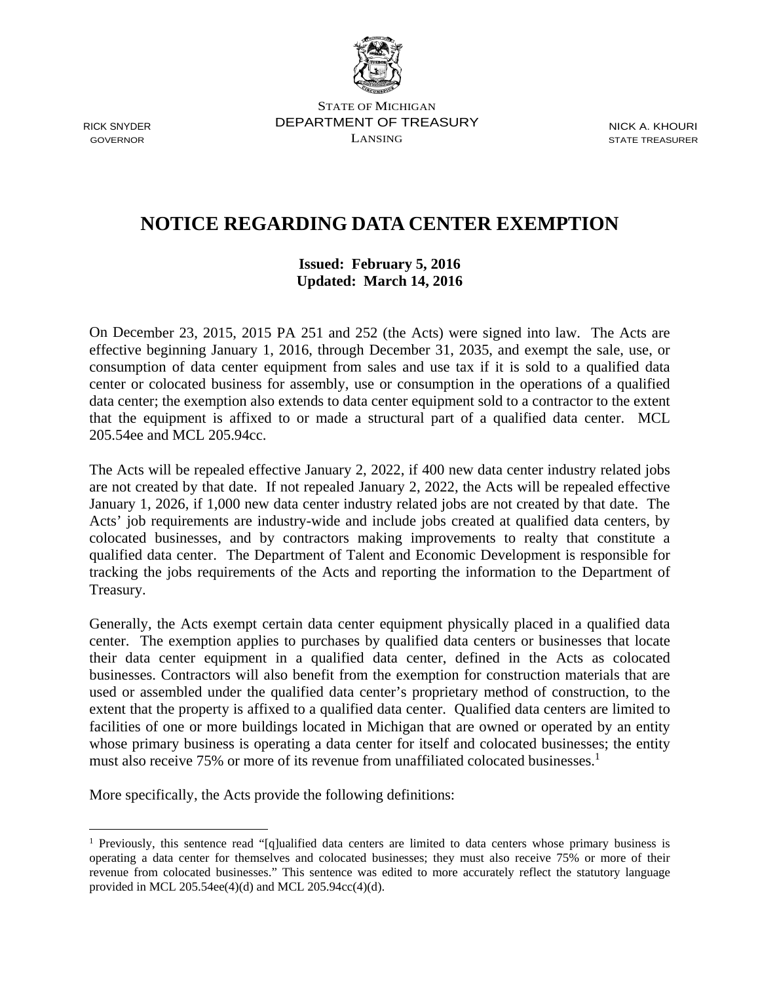

<u>.</u>

STATE OF MICHIGAN RICK SNYDER DEPARTMENT OF TREASURY NICK A. KHOURI  $\sum_{i=1}^{n}$  GOVERNOR STATE TREASURER

## **NOTICE REGARDING DATA CENTER EXEMPTION**

## **Issued: February 5, 2016 Updated: March 14, 2016**

On December 23, 2015, 2015 PA 251 and 252 (the Acts) were signed into law. The Acts are effective beginning January 1, 2016, through December 31, 2035, and exempt the sale, use, or consumption of data center equipment from sales and use tax if it is sold to a qualified data center or colocated business for assembly, use or consumption in the operations of a qualified data center; the exemption also extends to data center equipment sold to a contractor to the extent that the equipment is affixed to or made a structural part of a qualified data center. MCL 205.54ee and MCL 205.94cc.

The Acts will be repealed effective January 2, 2022, if 400 new data center industry related jobs are not created by that date. If not repealed January 2, 2022, the Acts will be repealed effective January 1, 2026, if 1,000 new data center industry related jobs are not created by that date. The Acts' job requirements are industry-wide and include jobs created at qualified data centers, by colocated businesses, and by contractors making improvements to realty that constitute a qualified data center. The Department of Talent and Economic Development is responsible for tracking the jobs requirements of the Acts and reporting the information to the Department of Treasury.

Generally, the Acts exempt certain data center equipment physically placed in a qualified data center. The exemption applies to purchases by qualified data centers or businesses that locate their data center equipment in a qualified data center, defined in the Acts as colocated businesses. Contractors will also benefit from the exemption for construction materials that are used or assembled under the qualified data center's proprietary method of construction, to the extent that the property is affixed to a qualified data center. Qualified data centers are limited to facilities of one or more buildings located in Michigan that are owned or operated by an entity whose primary business is operating a data center for itself and colocated businesses; the entity must also receive 75% or more of its revenue from unaffiliated colocated businesses.<sup>1</sup>

More specifically, the Acts provide the following definitions:

 provided in MCL 205.54ee(4)(d) and MCL 205.94cc(4)(d). <sup>1</sup> Previously, this sentence read "[q]ualified data centers are limited to data centers whose primary business is operating a data center for themselves and colocated businesses; they must also receive 75% or more of their revenue from colocated businesses." This sentence was edited to more accurately reflect the statutory language